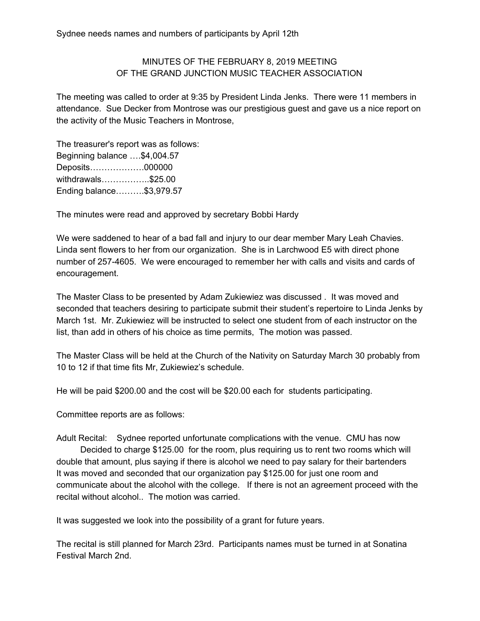## MINUTES OF THE FEBRUARY 8, 2019 MEETING OF THE GRAND JUNCTION MUSIC TEACHER ASSOCIATION

The meeting was called to order at 9:35 by President Linda Jenks. There were 11 members in attendance. Sue Decker from Montrose was our prestigious guest and gave us a nice report on the activity of the Music Teachers in Montrose,

The treasurer's report was as follows: Beginning balance ….\$4,004.57 Deposits……………….000000 withdrawals……………..\$25.00 Ending balance……….\$3,979.57

The minutes were read and approved by secretary Bobbi Hardy

We were saddened to hear of a bad fall and injury to our dear member Mary Leah Chavies. Linda sent flowers to her from our organization. She is in Larchwood E5 with direct phone number of 257-4605. We were encouraged to remember her with calls and visits and cards of encouragement.

The Master Class to be presented by Adam Zukiewiez was discussed . It was moved and seconded that teachers desiring to participate submit their student's repertoire to Linda Jenks by March 1st. Mr. Zukiewiez will be instructed to select one student from of each instructor on the list, than add in others of his choice as time permits, The motion was passed.

The Master Class will be held at the Church of the Nativity on Saturday March 30 probably from 10 to 12 if that time fits Mr, Zukiewiez's schedule.

He will be paid \$200.00 and the cost will be \$20.00 each for students participating.

Committee reports are as follows:

Adult Recital: Sydnee reported unfortunate complications with the venue. CMU has now Decided to charge \$125.00 for the room, plus requiring us to rent two rooms which will double that amount, plus saying if there is alcohol we need to pay salary for their bartenders It was moved and seconded that our organization pay \$125.00 for just one room and communicate about the alcohol with the college. If there is not an agreement proceed with the recital without alcohol.. The motion was carried.

It was suggested we look into the possibility of a grant for future years.

The recital is still planned for March 23rd. Participants names must be turned in at Sonatina Festival March 2nd.